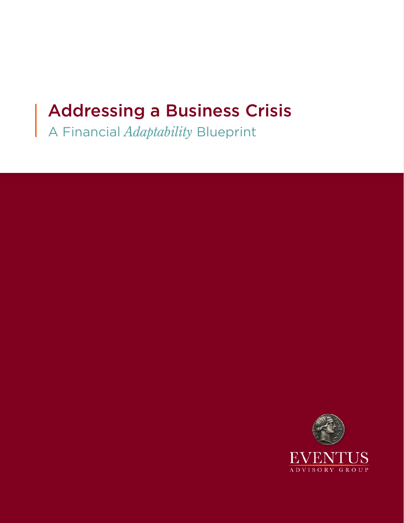# Addressing a Business Crisis

A Financial *Adaptability* Blueprint

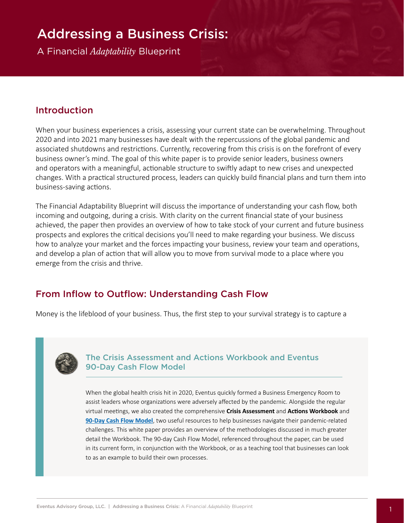## Addressing a Business Crisis:

A Financial *Adaptability* Blueprint

#### Introduction

When your business experiences a crisis, assessing your current state can be overwhelming. Throughout 2020 and into 2021 many businesses have dealt with the repercussions of the global pandemic and associated shutdowns and restrictions. Currently, recovering from this crisis is on the forefront of every business owner's mind. The goal of this white paper is to provide senior leaders, business owners and operators with a meaningful, actionable structure to swiftly adapt to new crises and unexpected changes. With a practical structured process, leaders can quickly build financial plans and turn them into business-saving actions.

The Financial Adaptability Blueprint will discuss the importance of understanding your cash flow, both incoming and outgoing, during a crisis. With clarity on the current financial state of your business achieved, the paper then provides an overview of how to take stock of your current and future business prospects and explores the critical decisions you'll need to make regarding your business. We discuss how to analyze your market and the forces impacting your business, review your team and operations, and develop a plan of action that will allow you to move from survival mode to a place where you emerge from the crisis and thrive.

#### From Inflow to Outflow: Understanding Cash Flow

Money is the lifeblood of your business. Thus, the first step to your survival strategy is to capture a



#### The Crisis Assessment and Actions Workbook and Eventus 90-Day Cash Flow Model

When the global health crisis hit in 2020, Eventus quickly formed a Business Emergency Room to assist leaders whose organizations were adversely affected by the pandemic. Alongside the regular virtual meetings, we also created the comprehensive **Crisis Assessment** and **Actions Workbook** and **[90-Day Cash Flow Model](https://eventusag.com/wp-content/uploads/2021/06/90-Day-Cash-Flow-Model.xlsx)**, two useful resources to help businesses navigate their pandemic-related challenges. This white paper provides an overview of the methodologies discussed in much greater detail the Workbook. The 90-day Cash Flow Model, referenced throughout the paper, can be used in its current form, in conjunction with the Workbook, or as a teaching tool that businesses can look to as an example to build their own processes.